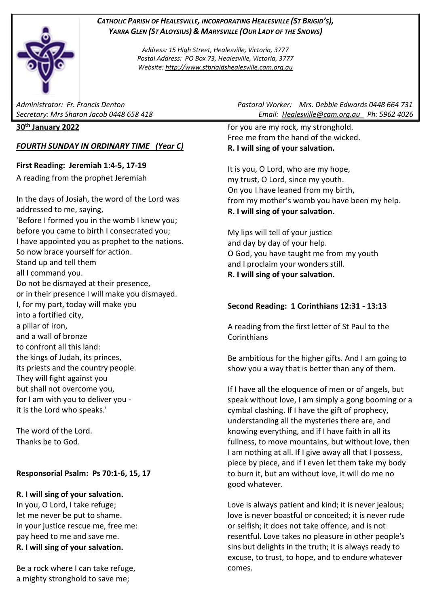## *CATHOLIC PARISH OF HEALESVILLE, INCORPORATING HEALESVILLE (ST BRIGID'S), YARRA GLEN (ST ALOYSIUS) & MARYSVILLE (OUR LADY OF THE SNOWS)*

*Address: 15 High Street, Healesville, Victoria, 3777 Postal Address: PO Box 73, Healesville, Victoria, 3777 Website: [http://www.stbrigidshealesville.cam.org.au](http://www.stbrigidshealesville.cam.org.au/)*

#### **30th January 2022**

## *FOURTH SUNDAY IN ORDINARY TIME (Year C)*

**First Reading: Jeremiah 1:4-5, 17-19** A reading from the prophet Jeremiah

In the days of Josiah, the word of the Lord was addressed to me, saying, 'Before I formed you in the womb I knew you; before you came to birth I consecrated you; I have appointed you as prophet to the nations. So now brace yourself for action. Stand up and tell them all I command you. Do not be dismayed at their presence, or in their presence I will make you dismayed. I, for my part, today will make you into a fortified city, a pillar of iron, and a wall of bronze to confront all this land: the kings of Judah, its princes, its priests and the country people. They will fight against you but shall not overcome you, for I am with you to deliver you it is the Lord who speaks.'

The word of the Lord. Thanks be to God.

## **Responsorial Psalm: Ps 70:1-6, 15, 17**

## **R. I will sing of your salvation.**

In you, O Lord, I take refuge; let me never be put to shame. in your justice rescue me, free me: pay heed to me and save me. **R. I will sing of your salvation.**

Be a rock where I can take refuge, a mighty stronghold to save me;

*Administrator: Fr. Francis Denton Pastoral Worker: Mrs. Debbie Edwards 0448 664 731 Secretary: Mrs Sharon Jacob 0448 658 418 Email: [Healesville@cam.org.au](mailto:Healesville@cam.org.au) Ph: 5962 4026* 

> for you are my rock, my stronghold. Free me from the hand of the wicked. **R. I will sing of your salvation.**

It is you, O Lord, who are my hope, my trust, O Lord, since my youth. On you I have leaned from my birth, from my mother's womb you have been my help. **R. I will sing of your salvation.**

My lips will tell of your justice and day by day of your help. O God, you have taught me from my youth and I proclaim your wonders still. **R. I will sing of your salvation.**

## **Second Reading: 1 Corinthians 12:31 - 13:13**

A reading from the first letter of St Paul to the **Corinthians** 

Be ambitious for the higher gifts. And I am going to show you a way that is better than any of them.

If I have all the eloquence of men or of angels, but speak without love, I am simply a gong booming or a cymbal clashing. If I have the gift of prophecy, understanding all the mysteries there are, and knowing everything, and if I have faith in all its fullness, to move mountains, but without love, then I am nothing at all. If I give away all that I possess, piece by piece, and if I even let them take my body to burn it, but am without love, it will do me no good whatever.

Love is always patient and kind; it is never jealous; love is never boastful or conceited; it is never rude or selfish; it does not take offence, and is not resentful. Love takes no pleasure in other people's sins but delights in the truth; it is always ready to excuse, to trust, to hope, and to endure whatever comes.

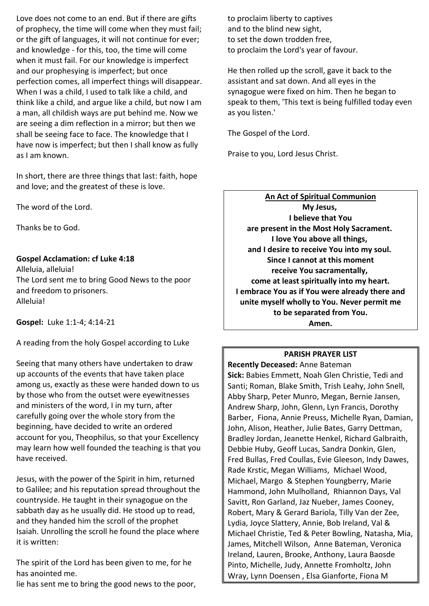Love does not come to an end. But if there are gifts of prophecy, the time will come when they must fail; or the gift of languages, it will not continue for ever; and knowledge - for this, too, the time will come when it must fail. For our knowledge is imperfect and our prophesying is imperfect; but once perfection comes, all imperfect things will disappear. When I was a child, I used to talk like a child, and think like a child, and argue like a child, but now I am a man, all childish ways are put behind me. Now we are seeing a dim reflection in a mirror; but then we shall be seeing face to face. The knowledge that I have now is imperfect; but then I shall know as fully as I am known.

In short, there are three things that last: faith, hope and love; and the greatest of these is love.

The word of the Lord.

Thanks be to God.

#### **Gospel Acclamation: cf Luke 4:18**

Alleluia, alleluia! The Lord sent me to bring Good News to the poor and freedom to prisoners. Alleluia!

**Gospel:** Luke 1:1-4; 4:14-21

A reading from the holy Gospel according to Luke

Seeing that many others have undertaken to draw up accounts of the events that have taken place among us, exactly as these were handed down to us by those who from the outset were eyewitnesses and ministers of the word, I in my turn, after carefully going over the whole story from the beginning, have decided to write an ordered account for you, Theophilus, so that your Excellency may learn how well founded the teaching is that you have received.

Jesus, with the power of the Spirit in him, returned to Galilee; and his reputation spread throughout the countryside. He taught in their synagogue on the sabbath day as he usually did. He stood up to read, and they handed him the scroll of the prophet Isaiah. Unrolling the scroll he found the place where it is written:

The spirit of the Lord has been given to me, for he has anointed me.

lie has sent me to bring the good news to the poor,

to proclaim liberty to captives and to the blind new sight, to set the down trodden free, to proclaim the Lord's year of favour.

He then rolled up the scroll, gave it back to the assistant and sat down. And all eyes in the synagogue were fixed on him. Then he began to speak to them, 'This text is being fulfilled today even as you listen.'

The Gospel of the Lord.

Praise to you, Lord Jesus Christ.

**An Act of Spiritual Communion My Jesus, I believe that You are present in the Most Holy Sacrament. I love You above all things, and I desire to receive You into my soul. Since I cannot at this moment receive You sacramentally, come at least spiritually into my heart. I embrace You as if You were already there and unite myself wholly to You. Never permit me to be separated from You. Amen.**

## **PARISH PRAYER LIST**

**Recently Deceased:** Anne Bateman **Sick:** Babies Emmett, Noah Glen Christie, Tedi and Santi; Roman, Blake Smith, Trish Leahy, John Snell, Abby Sharp, Peter Munro, Megan, Bernie Jansen, Andrew Sharp, John, Glenn, Lyn Francis, Dorothy Barber, Fiona, Annie Preuss, Michelle Ryan, Damian, John, Alison, Heather, Julie Bates, Garry Dettman, Bradley Jordan, Jeanette Henkel, Richard Galbraith, Debbie Huby, Geoff Lucas, Sandra Donkin, Glen, Fred Bullas, Fred Coullas, Evie Gleeson, Indy Dawes, Rade Krstic, Megan Williams, Michael Wood, Michael, Margo & Stephen Youngberry, Marie Hammond, John Mulholland, Rhiannon Days, Val Savitt, Ron Garland, Jaz Nueber, James Cooney, Robert, Mary & Gerard Bariola, Tilly Van der Zee, Lydia, Joyce Slattery, Annie, Bob Ireland, Val & Michael Christie, Ted & Peter Bowling, Natasha, Mia, James, Mitchell Wilson, Anne Bateman, Veronica Ireland, Lauren, Brooke, Anthony, Laura Baosde Pinto, Michelle, Judy, Annette Fromholtz, John Wray, Lynn Doensen , Elsa Gianforte, Fiona M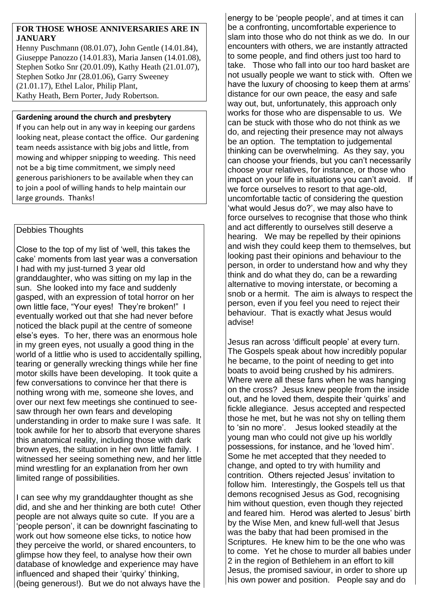#### **FOR THOSE WHOSE ANNIVERSARIES ARE IN JANUARY**

Henny Puschmann (08.01.07), John Gentle (14.01.84), Giuseppe Panozzo (14.01.83), Maria Jansen (14.01.08), Stephen Sotko Snr (20.01.09), Kathy Heath (21.01.07), Stephen Sotko Jnr (28.01.06), Garry Sweeney (21.01.17), Ethel Lalor, Philip Plant, Kathy Heath, Bern Porter, Judy Robertson.

#### **Gardening around the church and presbytery**

If you can help out in any way in keeping our gardens looking neat, please contact the office. Our gardening team needs assistance with big jobs and little, from mowing and whipper snipping to weeding. This need not be a big time commitment, we simply need generous parishioners to be available when they can to join a pool of willing hands to help maintain our large grounds. Thanks!

# Debbies Thoughts

Close to the top of my list of 'well, this takes the cake' moments from last year was a conversation I had with my just-turned 3 year old granddaughter, who was sitting on my lap in the sun. She looked into my face and suddenly gasped, with an expression of total horror on her own little face, "Your eyes! They're broken!" I eventually worked out that she had never before noticed the black pupil at the centre of someone else's eyes. To her, there was an enormous hole in my green eyes, not usually a good thing in the world of a littlie who is used to accidentally spilling, tearing or generally wrecking things while her fine motor skills have been developing. It took quite a few conversations to convince her that there is nothing wrong with me, someone she loves, and over our next few meetings she continued to seesaw through her own fears and developing understanding in order to make sure I was safe. It took awhile for her to absorb that everyone shares this anatomical reality, including those with dark brown eyes, the situation in her own little family. I witnessed her seeing something new, and her little mind wrestling for an explanation from her own limited range of possibilities.

I can see why my granddaughter thought as she did, and she and her thinking are both cute! Other people are not always quite so cute. If you are a 'people person', it can be downright fascinating to work out how someone else ticks, to notice how they perceive the world, or shared encounters, to glimpse how they feel, to analyse how their own database of knowledge and experience may have influenced and shaped their 'quirky' thinking, (being generous!). But we do not always have the energy to be 'people people', and at times it can be a confronting, uncomfortable experience to slam into those who do not think as we do. In our encounters with others, we are instantly attracted to some people, and find others just too hard to take. Those who fall into our too hard basket are not usually people we want to stick with. Often we have the luxury of choosing to keep them at arms' distance for our own peace, the easy and safe way out, but, unfortunately, this approach only works for those who are dispensable to us. We can be stuck with those who do not think as we do, and rejecting their presence may not always be an option. The temptation to judgemental thinking can be overwhelming. As they say, you can choose your friends, but you can't necessarily choose your relatives, for instance, or those who impact on your life in situations you can't avoid. If we force ourselves to resort to that age-old, uncomfortable tactic of considering the question 'what would Jesus do?', we may also have to force ourselves to recognise that those who think and act differently to ourselves still deserve a hearing. We may be repelled by their opinions and wish they could keep them to themselves, but looking past their opinions and behaviour to the person, in order to understand how and why they think and do what they do, can be a rewarding alternative to moving interstate, or becoming a snob or a hermit. The aim is always to respect the person, even if you feel you need to reject their behaviour. That is exactly what Jesus would advise!

Jesus ran across 'difficult people' at every turn. The Gospels speak about how incredibly popular he became, to the point of needing to get into boats to avoid being crushed by his admirers. Where were all these fans when he was hanging on the cross? Jesus knew people from the inside out, and he loved them, despite their 'quirks' and fickle allegiance. Jesus accepted and respected those he met, but he was not shy on telling them to 'sin no more'. Jesus looked steadily at the young man who could not give up his worldly possessions, for instance, and he 'loved him'. Some he met accepted that they needed to change, and opted to try with humility and contrition. Others rejected Jesus' invitation to follow him. Interestingly, the Gospels tell us that demons recognised Jesus as God, recognising him without question, even though they rejected and feared him. Herod was alerted to Jesus' birth by the Wise Men, and knew full-well that Jesus was the baby that had been promised in the Scriptures. He knew him to be the one who was to come. Yet he chose to murder all babies under 2 in the region of Bethlehem in an effort to kill Jesus, the promised saviour, in order to shore up his own power and position. People say and do